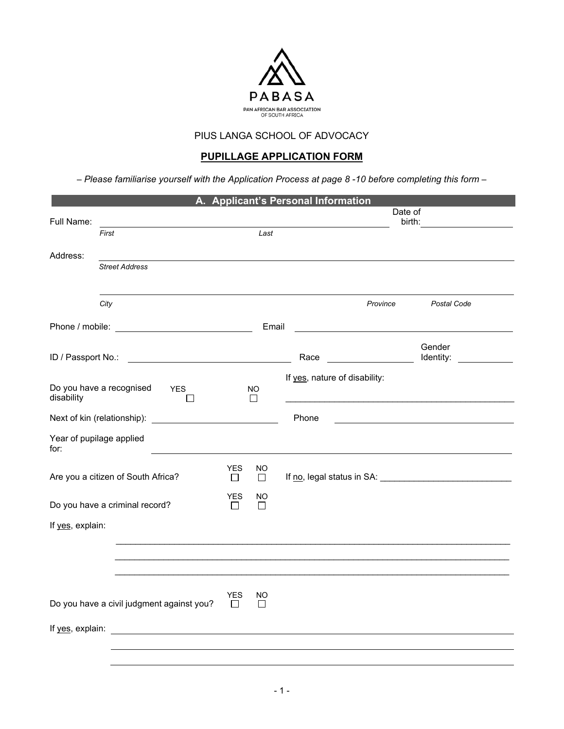

# **PUPILLAGE APPLICATION FORM**

– *Please familiarise yourself with the Application Process at page 8 -10 before completing this form –* 

|                  |                                                                                                                                                                                                                                |                       |              | A. Applicant's Personal Information                 |             |
|------------------|--------------------------------------------------------------------------------------------------------------------------------------------------------------------------------------------------------------------------------|-----------------------|--------------|-----------------------------------------------------|-------------|
|                  |                                                                                                                                                                                                                                |                       |              |                                                     | Date of     |
| Full Name:       | First                                                                                                                                                                                                                          |                       | Last         |                                                     | birth:      |
|                  |                                                                                                                                                                                                                                |                       |              |                                                     |             |
| Address:         |                                                                                                                                                                                                                                |                       |              |                                                     |             |
|                  | <b>Street Address</b>                                                                                                                                                                                                          |                       |              |                                                     |             |
|                  |                                                                                                                                                                                                                                |                       |              |                                                     |             |
|                  | City                                                                                                                                                                                                                           |                       |              | Province                                            | Postal Code |
|                  |                                                                                                                                                                                                                                |                       | Email        | <u> 1980 - Andrea Station Barbara, amerikan per</u> |             |
|                  |                                                                                                                                                                                                                                |                       |              |                                                     | Gender      |
|                  | ID / Passport No.: The contract of the contract of the contract of the contract of the contract of the contract of the contract of the contract of the contract of the contract of the contract of the contract of the contrac |                       |              | Race                                                | Identity:   |
|                  |                                                                                                                                                                                                                                |                       |              | If yes, nature of disability:                       |             |
|                  | Do you have a recognised<br><b>YES</b>                                                                                                                                                                                         |                       | NO           |                                                     |             |
| disability       |                                                                                                                                                                                                                                |                       | $\perp$      |                                                     |             |
|                  |                                                                                                                                                                                                                                |                       |              | Phone                                               |             |
| for:             | Year of pupilage applied                                                                                                                                                                                                       |                       |              |                                                     |             |
|                  |                                                                                                                                                                                                                                | <b>YES</b>            | NO           |                                                     |             |
|                  | Are you a citizen of South Africa?                                                                                                                                                                                             | $\Box$                | $\Box$       |                                                     |             |
|                  | Do you have a criminal record?                                                                                                                                                                                                 | <b>YES</b><br>$\perp$ | NO<br>$\Box$ |                                                     |             |
|                  |                                                                                                                                                                                                                                |                       |              |                                                     |             |
| If yes, explain: |                                                                                                                                                                                                                                |                       |              |                                                     |             |
|                  |                                                                                                                                                                                                                                |                       |              |                                                     |             |
|                  |                                                                                                                                                                                                                                |                       |              |                                                     |             |
|                  |                                                                                                                                                                                                                                |                       |              |                                                     |             |
|                  | Do you have a civil judgment against you?                                                                                                                                                                                      | YES                   | NO           |                                                     |             |
|                  |                                                                                                                                                                                                                                | $\Box$                | $\Box$       |                                                     |             |
|                  |                                                                                                                                                                                                                                |                       |              |                                                     |             |
|                  |                                                                                                                                                                                                                                |                       |              |                                                     |             |
|                  |                                                                                                                                                                                                                                |                       |              |                                                     |             |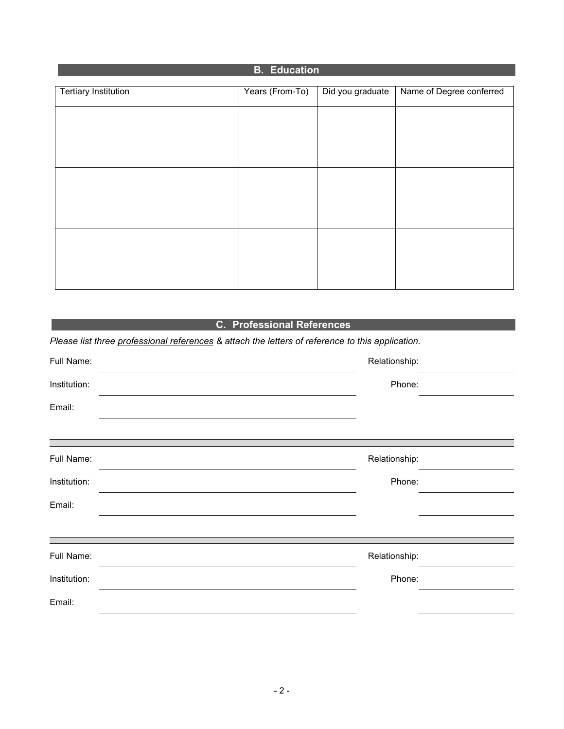| <b>B.</b> Education         |                 |                  |                          |  |
|-----------------------------|-----------------|------------------|--------------------------|--|
|                             |                 |                  |                          |  |
| <b>Tertiary Institution</b> | Years (From-To) | Did you graduate | Name of Degree conferred |  |
|                             |                 |                  |                          |  |
|                             |                 |                  |                          |  |
|                             |                 |                  |                          |  |
|                             |                 |                  |                          |  |
|                             |                 |                  |                          |  |
|                             |                 |                  |                          |  |
|                             |                 |                  |                          |  |
|                             |                 |                  |                          |  |
|                             |                 |                  |                          |  |
|                             |                 |                  |                          |  |
|                             |                 |                  |                          |  |
|                             |                 |                  |                          |  |
|                             |                 |                  |                          |  |
|                             |                 |                  |                          |  |
|                             |                 |                  |                          |  |
|                             |                 |                  |                          |  |

# **C. Professional References**

*Please list three professional references & attach the letters of reference to this application.* 

| Full Name:   | Relationship: |  |
|--------------|---------------|--|
| Institution: | Phone:        |  |
| Email:       |               |  |
|              |               |  |
| Full Name:   | Relationship: |  |
| Institution: | Phone:        |  |
| Email:       |               |  |
|              |               |  |
| Full Name:   | Relationship: |  |
| Institution: | Phone:        |  |
| Email:       |               |  |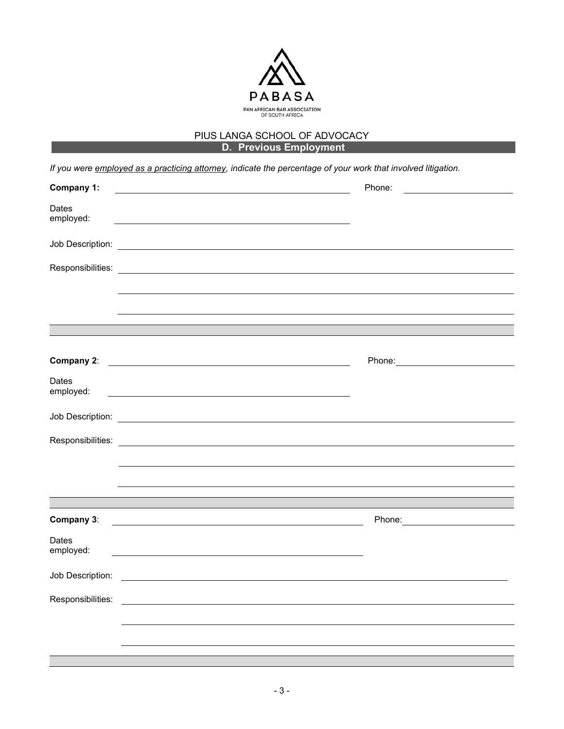

## PIUS LANGA SCHOOL OF ADVOCACY **D. Previous Employment**

*If you were employed as a practicing attorney, indicate the percentage of your work that involved litigation.*

| Company 1:                                                                                                                                   | Phone:<br>$\begin{tabular}{c} \multicolumn{2}{c} {\textbf{1}}\\ \multicolumn{2}{c} {\textbf{2}}\\ \multicolumn{2}{c} {\textbf{3}}\\ \multicolumn{2}{c} {\textbf{4}}\\ \multicolumn{2}{c} {\textbf{5}}\\ \multicolumn{2}{c} {\textbf{6}}\\ \multicolumn{2}{c} {\textbf{6}}\\ \multicolumn{2}{c} {\textbf{6}}\\ \multicolumn{2}{c} {\textbf{7}}\\ \multicolumn{2}{c} {\textbf{8}}\\ \multicolumn{2}{c} {\textbf{9}}\\ \multicolumn{2}{c} {\textbf{1}}\\ \multicolumn{2}{c} {\textbf{1}}\\ \multicolumn$ |
|----------------------------------------------------------------------------------------------------------------------------------------------|-------------------------------------------------------------------------------------------------------------------------------------------------------------------------------------------------------------------------------------------------------------------------------------------------------------------------------------------------------------------------------------------------------------------------------------------------------------------------------------------------------|
| Dates<br>employed:<br><u> 1989 - Johann Stoff, deutscher Stoffen und der Stoffen und der Stoffen und der Stoffen und der Stoffen und der</u> |                                                                                                                                                                                                                                                                                                                                                                                                                                                                                                       |
|                                                                                                                                              |                                                                                                                                                                                                                                                                                                                                                                                                                                                                                                       |
|                                                                                                                                              |                                                                                                                                                                                                                                                                                                                                                                                                                                                                                                       |
|                                                                                                                                              |                                                                                                                                                                                                                                                                                                                                                                                                                                                                                                       |
|                                                                                                                                              |                                                                                                                                                                                                                                                                                                                                                                                                                                                                                                       |
|                                                                                                                                              |                                                                                                                                                                                                                                                                                                                                                                                                                                                                                                       |
| Company 2:                                                                                                                                   | Phone: <u>________________________</u><br><u> 1989 - Johann Barbara, martin amerikan basal dan berasal dan berasal dalam basal dan berasal dan berasal dan</u>                                                                                                                                                                                                                                                                                                                                        |
| Dates<br>employed:                                                                                                                           |                                                                                                                                                                                                                                                                                                                                                                                                                                                                                                       |
| Job Description:                                                                                                                             | <u> 1989 - Johann Stoff, deutscher Stoffen und der Stoffen und der Stoffen und der Stoffen und der Stoffen und der</u>                                                                                                                                                                                                                                                                                                                                                                                |
| Responsibilities:                                                                                                                            |                                                                                                                                                                                                                                                                                                                                                                                                                                                                                                       |
|                                                                                                                                              |                                                                                                                                                                                                                                                                                                                                                                                                                                                                                                       |
|                                                                                                                                              |                                                                                                                                                                                                                                                                                                                                                                                                                                                                                                       |
|                                                                                                                                              |                                                                                                                                                                                                                                                                                                                                                                                                                                                                                                       |
| Company 3:                                                                                                                                   |                                                                                                                                                                                                                                                                                                                                                                                                                                                                                                       |
| Dates<br>employed:                                                                                                                           |                                                                                                                                                                                                                                                                                                                                                                                                                                                                                                       |
| Job Description:                                                                                                                             | <u> 1989 - Johann Harry Harry Harry Harry Harry Harry Harry Harry Harry Harry Harry Harry Harry Harry Harry Harry</u>                                                                                                                                                                                                                                                                                                                                                                                 |
| Responsibilities:                                                                                                                            |                                                                                                                                                                                                                                                                                                                                                                                                                                                                                                       |
|                                                                                                                                              |                                                                                                                                                                                                                                                                                                                                                                                                                                                                                                       |
|                                                                                                                                              |                                                                                                                                                                                                                                                                                                                                                                                                                                                                                                       |
|                                                                                                                                              |                                                                                                                                                                                                                                                                                                                                                                                                                                                                                                       |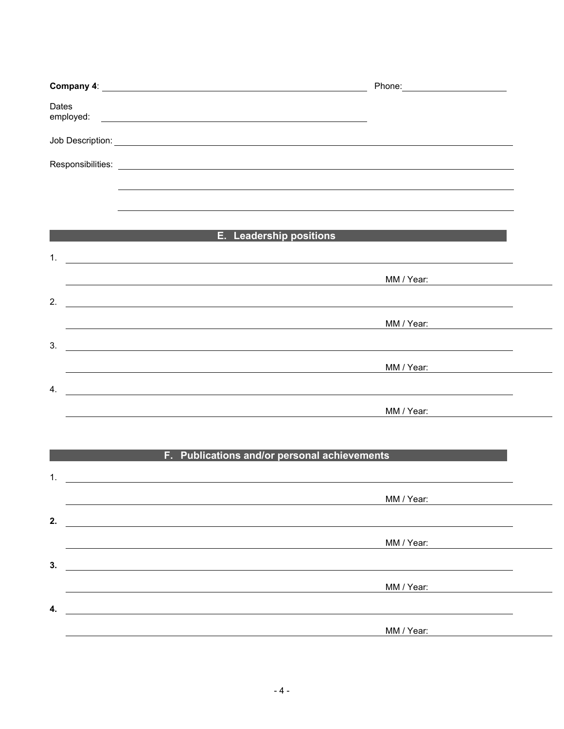|                                                                                                                                                                                                                                            | Phone: ________________________                                                                                                     |  |
|--------------------------------------------------------------------------------------------------------------------------------------------------------------------------------------------------------------------------------------------|-------------------------------------------------------------------------------------------------------------------------------------|--|
| Dates                                                                                                                                                                                                                                      |                                                                                                                                     |  |
|                                                                                                                                                                                                                                            |                                                                                                                                     |  |
|                                                                                                                                                                                                                                            |                                                                                                                                     |  |
|                                                                                                                                                                                                                                            |                                                                                                                                     |  |
|                                                                                                                                                                                                                                            |                                                                                                                                     |  |
| 1.<br><u> 1989 - Johann Barbara, martxa alemaniar argametria (h. 1989).</u>                                                                                                                                                                | <b>E.</b> Leadership positions                                                                                                      |  |
|                                                                                                                                                                                                                                            |                                                                                                                                     |  |
| 2.                                                                                                                                                                                                                                         |                                                                                                                                     |  |
|                                                                                                                                                                                                                                            |                                                                                                                                     |  |
| 3.<br><u> 1980 - Johann John Stone, markin film yn y brening yn y brening yn y brening yn y brening y brening yn y bre</u>                                                                                                                 |                                                                                                                                     |  |
| 4.<br><u> 1980 - Johann John Stone, markin fan de Amerikaansk kommunister (</u>                                                                                                                                                            |                                                                                                                                     |  |
|                                                                                                                                                                                                                                            | MM / Year:                                                                                                                          |  |
|                                                                                                                                                                                                                                            |                                                                                                                                     |  |
| 1.                                                                                                                                                                                                                                         | F. Publications and/or personal achievements                                                                                        |  |
|                                                                                                                                                                                                                                            | <u> 1989 - Johann Stoff, deutscher Stoff, der Stoff, der Stoff, der Stoff, der Stoff, der Stoff, der Stoff, der S</u><br>MM / Year: |  |
| 2.<br><u>and the control of the control of the control of the control of the control of the control of the control of the control of the control of the control of the control of the control of the control of the control of the con</u> |                                                                                                                                     |  |
|                                                                                                                                                                                                                                            | MM / Year:                                                                                                                          |  |
| 3.<br><u>and the control of the control of the control of the control of the control of the control of the control of</u>                                                                                                                  |                                                                                                                                     |  |
| 4.                                                                                                                                                                                                                                         | MM / Year:                                                                                                                          |  |
|                                                                                                                                                                                                                                            | MM / Year:                                                                                                                          |  |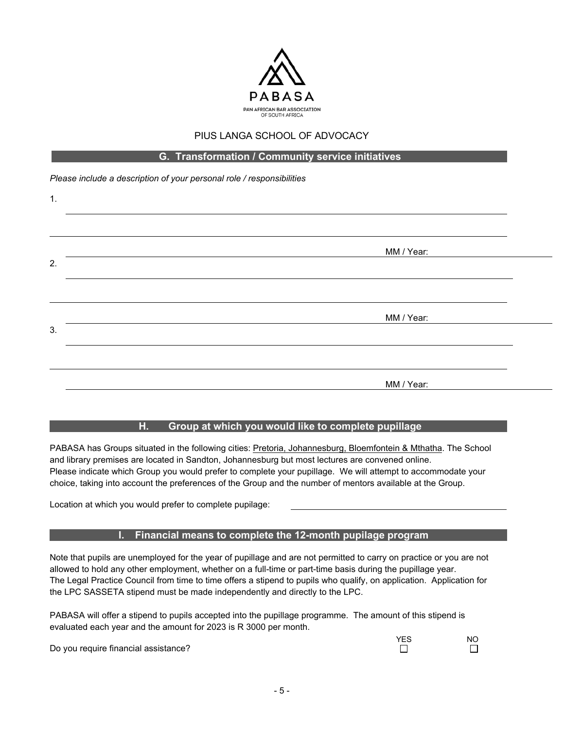

#### **G. Transformation / Community service initiatives**

*Please include a description of your personal role / responsibilities* 

| 1. |            |  |
|----|------------|--|
|    |            |  |
|    | MM / Year: |  |
| 2. |            |  |
|    |            |  |
|    | MM / Year: |  |
| 3. |            |  |
|    |            |  |
|    | MM / Year: |  |
|    |            |  |

## **H. Group at which you would like to complete pupillage**

PABASA has Groups situated in the following cities: Pretoria, Johannesburg, Bloemfontein & Mthatha. The School and library premises are located in Sandton, Johannesburg but most lectures are convened online. Please indicate which Group you would prefer to complete your pupillage. We will attempt to accommodate your choice, taking into account the preferences of the Group and the number of mentors available at the Group.

Location at which you would prefer to complete pupilage:

#### **I. Financial means to complete the 12-month pupilage program**

Note that pupils are unemployed for the year of pupillage and are not permitted to carry on practice or you are not allowed to hold any other employment, whether on a full-time or part-time basis during the pupillage year. The Legal Practice Council from time to time offers a stipend to pupils who qualify, on application. Application for the LPC SASSETA stipend must be made independently and directly to the LPC.

PABASA will offer a stipend to pupils accepted into the pupillage programme. The amount of this stipend is evaluated each year and the amount for 2023 is R 3000 per month.

Do you require financial assistance?

YES NO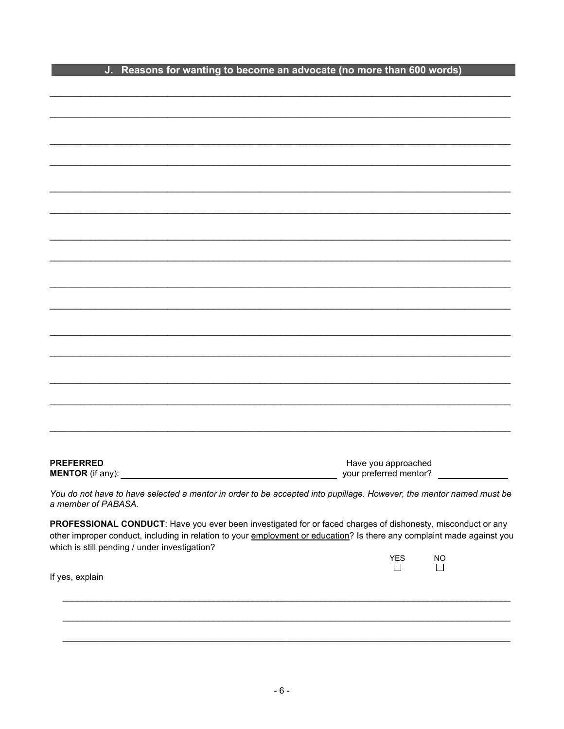|  | J. Reasons for wanting to become an advocate (no more than 600 words) |
|--|-----------------------------------------------------------------------|

| <b>PREFERRED</b>                                                                                                       |                                               |           |
|------------------------------------------------------------------------------------------------------------------------|-----------------------------------------------|-----------|
| <b>MENTOR</b> (if any):                                                                                                | Have you approached<br>your preferred mentor? |           |
|                                                                                                                        |                                               |           |
| You do not have to have selected a mentor in order to be accepted into pupillage. However, the mentor named must be    |                                               |           |
| a member of PABASA.                                                                                                    |                                               |           |
|                                                                                                                        |                                               |           |
| PROFESSIONAL CONDUCT: Have you ever been investigated for or faced charges of dishonesty, misconduct or any            |                                               |           |
| other improper conduct, including in relation to your employment or education? Is there any complaint made against you |                                               |           |
| which is still pending / under investigation?                                                                          |                                               |           |
|                                                                                                                        | YES                                           | <b>NO</b> |
|                                                                                                                        |                                               |           |
|                                                                                                                        | $\mathsf{L}$                                  | $\Box$    |
| If yes, explain                                                                                                        |                                               |           |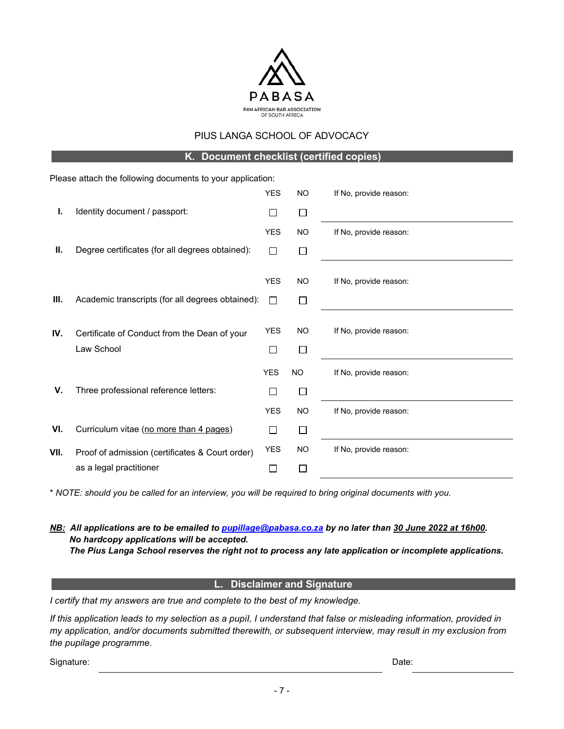

**K. Document checklist (certified copies)**

|      | Please attach the following documents to your application: |              |           |                        |
|------|------------------------------------------------------------|--------------|-----------|------------------------|
|      |                                                            | <b>YES</b>   | <b>NO</b> | If No, provide reason: |
| I.   | Identity document / passport:                              | $\mathbf{L}$ | $\Box$    |                        |
|      |                                                            | <b>YES</b>   | <b>NO</b> | If No, provide reason: |
| Ш.   | Degree certificates (for all degrees obtained):            | $\Box$       | □         |                        |
|      |                                                            |              |           |                        |
|      |                                                            | <b>YES</b>   | <b>NO</b> | If No, provide reason: |
| III. | Academic transcripts (for all degrees obtained):           | П            | П         |                        |
|      |                                                            |              |           |                        |
| IV.  | Certificate of Conduct from the Dean of your               | <b>YES</b>   | <b>NO</b> | If No, provide reason: |
|      | Law School                                                 | П            | $\Box$    |                        |
|      |                                                            | <b>YES</b>   | <b>NO</b> | If No, provide reason: |
| V.   | Three professional reference letters:                      | П            | $\Box$    |                        |
|      |                                                            | <b>YES</b>   | <b>NO</b> | If No, provide reason: |
| VI.  | Curriculum vitae (no more than 4 pages)                    | $\Box$       | □         |                        |
| VII. | Proof of admission (certificates & Court order)            | <b>YES</b>   | <b>NO</b> | If No, provide reason: |
|      | as a legal practitioner                                    | $\Box$       | $\Box$    |                        |

\* *NOTE: should you be called for an interview, you will be required to bring original documents with you.* 

*NB: All applications are to be emailed to [pupillage@pabasa.co.za](mailto:pupillage@pabasa.co.za) by no later than 30 June 2022 at 16h00. No hardcopy applications will be accepted. The Pius Langa School reserves the right not to process any late application or incomplete applications.*

#### **L. Disclaimer and Signature**

*I certify that my answers are true and complete to the best of my knowledge.* 

If this application leads to my selection as a pupil, I understand that false or misleading information, provided in *my application, and/or documents submitted therewith, or subsequent interview, may result in my exclusion from the pupilage programme.* 

Signature: Date: Date: Date: Date: Date: Date: Date: Date: Date: Date: Date: Date: Date: Date: Date: Date: Date: Date: Date: Date: Date: Date: Date: Date: Date: Date: Date: Date: Date: Date: Date: Date: Date: Date: Date: D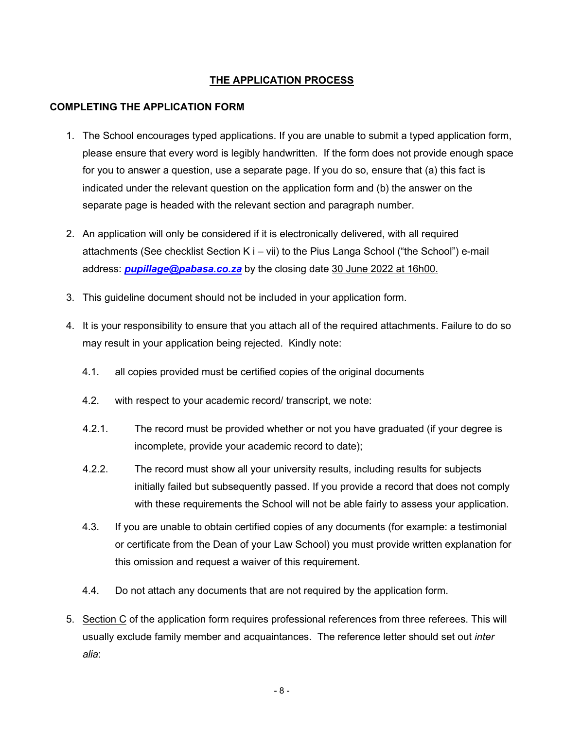# **THE APPLICATION PROCESS**

### **COMPLETING THE APPLICATION FORM**

- 1. The School encourages typed applications. If you are unable to submit a typed application form, please ensure that every word is legibly handwritten. If the form does not provide enough space for you to answer a question, use a separate page. If you do so, ensure that (a) this fact is indicated under the relevant question on the application form and (b) the answer on the separate page is headed with the relevant section and paragraph number.
- 2. An application will only be considered if it is electronically delivered, with all required attachments (See checklist Section K i – vii) to the Pius Langa School ("the School") e-mail address: *[pupillage@pabasa.co.za](mailto:pupillage@pabasa.co.za)* by the closing date 30 June 2022 at 16h00.
- 3. This guideline document should not be included in your application form.
- 4. It is your responsibility to ensure that you attach all of the required attachments. Failure to do so may result in your application being rejected. Kindly note:
	- 4.1. all copies provided must be certified copies of the original documents
	- 4.2. with respect to your academic record/ transcript, we note:
	- 4.2.1. The record must be provided whether or not you have graduated (if your degree is incomplete, provide your academic record to date);
	- 4.2.2. The record must show all your university results, including results for subjects initially failed but subsequently passed. If you provide a record that does not comply with these requirements the School will not be able fairly to assess your application.
	- 4.3. If you are unable to obtain certified copies of any documents (for example: a testimonial or certificate from the Dean of your Law School) you must provide written explanation for this omission and request a waiver of this requirement.
	- 4.4. Do not attach any documents that are not required by the application form.
- 5. Section C of the application form requires professional references from three referees. This will usually exclude family member and acquaintances. The reference letter should set out *inter alia*: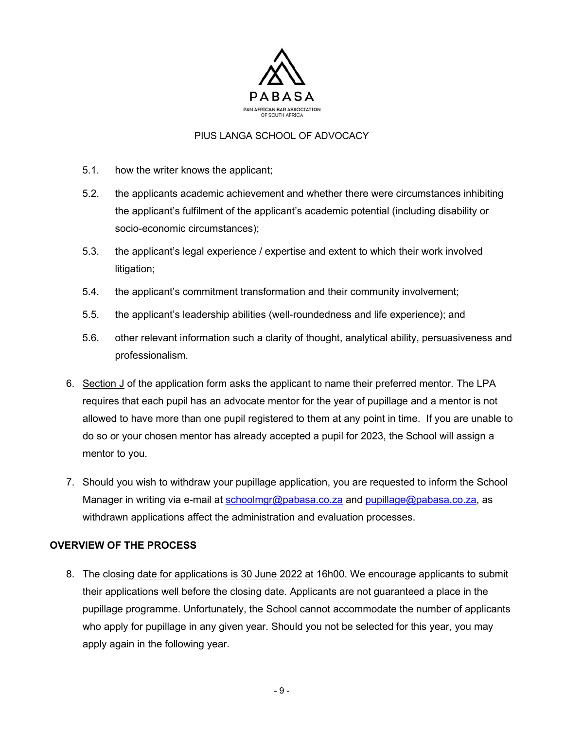

- 5.1. how the writer knows the applicant;
- 5.2. the applicants academic achievement and whether there were circumstances inhibiting the applicant's fulfilment of the applicant's academic potential (including disability or socio-economic circumstances);
- 5.3. the applicant's legal experience / expertise and extent to which their work involved litigation;
- 5.4. the applicant's commitment transformation and their community involvement;
- 5.5. the applicant's leadership abilities (well-roundedness and life experience); and
- 5.6. other relevant information such a clarity of thought, analytical ability, persuasiveness and professionalism.
- 6. Section J of the application form asks the applicant to name their preferred mentor. The LPA requires that each pupil has an advocate mentor for the year of pupillage and a mentor is not allowed to have more than one pupil registered to them at any point in time. If you are unable to do so or your chosen mentor has already accepted a pupil for 2023, the School will assign a mentor to you.
- 7. Should you wish to withdraw your pupillage application, you are requested to inform the School Manager in writing via e-mail at [schoolmgr@pabasa.co.za](mailto:schoolmgr@pabasa.co.za) and [pupillage@pabasa.co.za,](mailto:pupillage@pabasa.co.za) as withdrawn applications affect the administration and evaluation processes.

## **OVERVIEW OF THE PROCESS**

8. The closing date for applications is 30 June 2022 at 16h00. We encourage applicants to submit their applications well before the closing date. Applicants are not guaranteed a place in the pupillage programme. Unfortunately, the School cannot accommodate the number of applicants who apply for pupillage in any given year. Should you not be selected for this year, you may apply again in the following year.